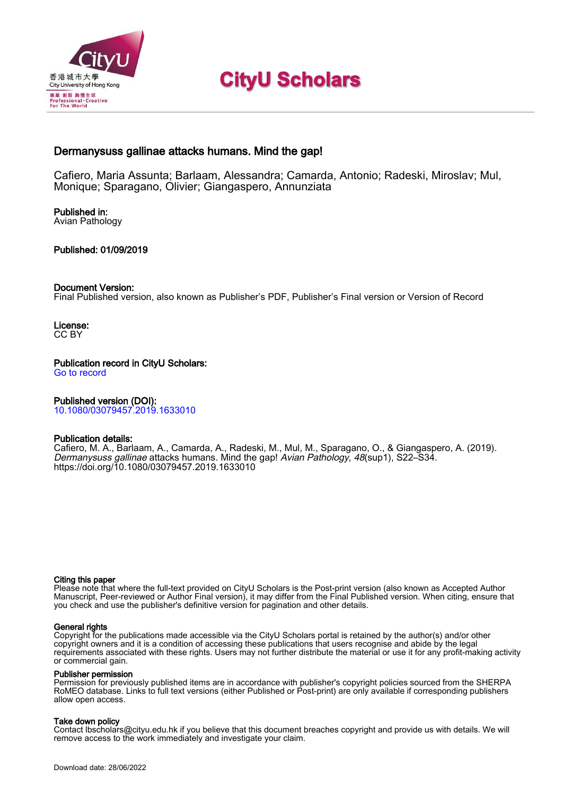

# **CityU Scholars**

### Dermanysuss gallinae attacks humans. Mind the gap!

Cafiero, Maria Assunta; Barlaam, Alessandra; Camarda, Antonio; Radeski, Miroslav; Mul, Monique; Sparagano, Olivier; Giangaspero, Annunziata

Published in: Avian Pathology

### Published: 01/09/2019

#### Document Version:

Final Published version, also known as Publisher's PDF, Publisher's Final version or Version of Record

License: CC BY

Publication record in CityU Scholars: [Go to record](https://scholars.cityu.edu.hk/en/publications/dermanysuss-gallinae-attacks-humans-mind-the-gap(81cf1635-e12c-46e8-9f92-3cd5be240851).html)

### Published version (DOI):

[10.1080/03079457.2019.1633010](https://doi.org/10.1080/03079457.2019.1633010)

### Publication details:

Cafiero, M. A., Barlaam, A., Camarda, A., Radeski, M., Mul, M[., Sparagano, O.,](https://scholars.cityu.edu.hk/en/persons/olivier-andre-sparagano(ccf48cfe-a54b-4ada-80ea-e7adc261ba38).html) & Giangaspero, A. (2019). [Dermanysuss gallinae](https://scholars.cityu.edu.hk/en/publications/dermanysuss-gallinae-attacks-humans-mind-the-gap(81cf1635-e12c-46e8-9f92-3cd5be240851).html) [attacks humans. Mind the gap!](https://scholars.cityu.edu.hk/en/publications/dermanysuss-gallinae-attacks-humans-mind-the-gap(81cf1635-e12c-46e8-9f92-3cd5be240851).html) [Avian Pathology](https://scholars.cityu.edu.hk/en/journals/avian-pathology(37cc3703-769e-480e-8a32-358b3761b2c7)/publications.html), 48(sup1), S22–S34. <https://doi.org/10.1080/03079457.2019.1633010>

#### Citing this paper

Please note that where the full-text provided on CityU Scholars is the Post-print version (also known as Accepted Author Manuscript, Peer-reviewed or Author Final version), it may differ from the Final Published version. When citing, ensure that you check and use the publisher's definitive version for pagination and other details.

#### General rights

Copyright for the publications made accessible via the CityU Scholars portal is retained by the author(s) and/or other copyright owners and it is a condition of accessing these publications that users recognise and abide by the legal requirements associated with these rights. Users may not further distribute the material or use it for any profit-making activity or commercial gain.

#### Publisher permission

Permission for previously published items are in accordance with publisher's copyright policies sourced from the SHERPA RoMEO database. Links to full text versions (either Published or Post-print) are only available if corresponding publishers allow open access.

#### Take down policy

Contact lbscholars@cityu.edu.hk if you believe that this document breaches copyright and provide us with details. We will remove access to the work immediately and investigate your claim.